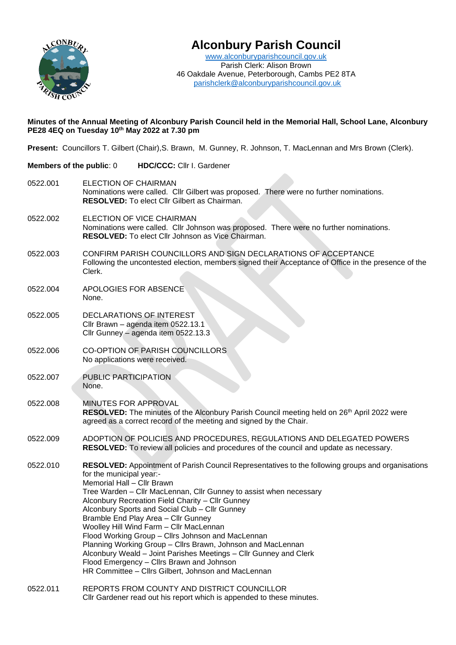

# **Alconbury Parish Council**

[www.alconburyparishcouncil.gov.uk](http://www.alconburyparishcouncil.gov.uk/) Parish Clerk: Alison Brown 46 Oakdale Avenue, Peterborough, Cambs PE2 8TA [parishclerk@alconburyparishcouncil.gov.uk](mailto:parishclerk@alconburyparishcouncil.gov.uk)

#### **Minutes of the Annual Meeting of Alconbury Parish Council held in the Memorial Hall, School Lane, Alconbury PE28 4EQ on Tuesday 10th May 2022 at 7.30 pm**

**Present:** Councillors T. Gilbert (Chair),S. Brawn, M. Gunney, R. Johnson, T. MacLennan and Mrs Brown (Clerk).

**Members of the public**: 0 **HDC/CCC:** Cllr I. Gardener 0522.001 ELECTION OF CHAIRMAN Nominations were called. Cllr Gilbert was proposed. There were no further nominations. **RESOLVED:** To elect Cllr Gilbert as Chairman. 0522.002 ELECTION OF VICE CHAIRMAN Nominations were called. Cllr Johnson was proposed. There were no further nominations. **RESOLVED:** To elect Cllr Johnson as Vice Chairman. 0522.003 CONFIRM PARISH COUNCILLORS AND SIGN DECLARATIONS OF ACCEPTANCE Following the uncontested election, members signed their Acceptance of Office in the presence of the Clerk. 0522.004 APOLOGIES FOR ABSENCE None. 0522.005 DECLARATIONS OF INTEREST Cllr Brawn – agenda item 0522.13.1 Cllr Gunney – agenda item 0522.13.3 0522.006 CO-OPTION OF PARISH COUNCILLORS No applications were received. 0522.007 PUBLIC PARTICIPATION None. 0522.008 MINUTES FOR APPROVAL RESOLVED: The minutes of the Alconbury Parish Council meeting held on 26<sup>th</sup> April 2022 were agreed as a correct record of the meeting and signed by the Chair. 0522.009 ADOPTION OF POLICIES AND PROCEDURES, REGULATIONS AND DELEGATED POWERS **RESOLVED:** To review all policies and procedures of the council and update as necessary. 0522.010 **RESOLVED:** Appointment of Parish Council Representatives to the following groups and organisations for the municipal year:- Memorial Hall – Cllr Brawn Tree Warden – Cllr MacLennan, Cllr Gunney to assist when necessary Alconbury Recreation Field Charity – Cllr Gunney Alconbury Sports and Social Club – Cllr Gunney Bramble End Play Area – Cllr Gunney Woolley Hill Wind Farm – Cllr MacLennan Flood Working Group – Cllrs Johnson and MacLennan Planning Working Group – Cllrs Brawn, Johnson and MacLennan Alconbury Weald – Joint Parishes Meetings – Cllr Gunney and Clerk Flood Emergency – Cllrs Brawn and Johnson HR Committee – Cllrs Gilbert, Johnson and MacLennan 0522.011 REPORTS FROM COUNTY AND DISTRICT COUNCILLOR

Cllr Gardener read out his report which is appended to these minutes.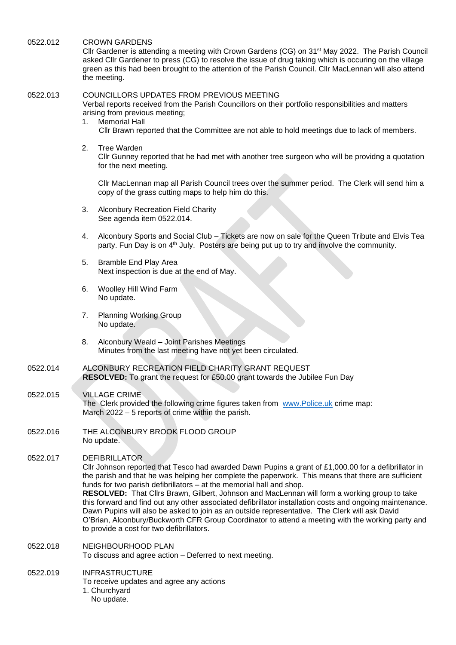0522.012 CROWN GARDENS

Cllr Gardener is attending a meeting with Crown Gardens (CG) on 31st May 2022. The Parish Council asked Cllr Gardener to press (CG) to resolve the issue of drug taking which is occuring on the village green as this had been brought to the attention of the Parish Council. Cllr MacLennan will also attend the meeting.

#### 0522.013 COUNCILLORS UPDATES FROM PREVIOUS MEETING

Verbal reports received from the Parish Councillors on their portfolio responsibilities and matters arising from previous meeting;

- 1. Memorial Hall Cllr Brawn reported that the Committee are not able to hold meetings due to lack of members.
- 2. Tree Warden

Cllr Gunney reported that he had met with another tree surgeon who will be providng a quotation for the next meeting.

Cllr MacLennan map all Parish Council trees over the summer period. The Clerk will send him a copy of the grass cutting maps to help him do this.

- 3. Alconbury Recreation Field Charity See agenda item 0522.014.
- 4. Alconbury Sports and Social Club Tickets are now on sale for the Queen Tribute and Elvis Tea party. Fun Day is on 4th July. Posters are being put up to try and involve the community.
- 5. Bramble End Play Area Next inspection is due at the end of May.
- 6. Woolley Hill Wind Farm No update.
- 7. Planning Working Group No update.
- 8. Alconbury Weald Joint Parishes Meetings Minutes from the last meeting have not yet been circulated.
- 0522.014 ALCONBURY RECREATION FIELD CHARITY GRANT REQUEST **RESOLVED:** To grant the request for £50.00 grant towards the Jubilee Fun Day
- 0522.015 VILLAGE CRIME The Clerk provided the following crime figures taken from [www.Police.uk](http://www.police.uk/) crime map: March 2022 – 5 reports of crime within the parish.
- 0522.016 THE ALCONBURY BROOK FLOOD GROUP No update.

0522.017 DEFIBRILLATOR

Cllr Johnson reported that Tesco had awarded Dawn Pupins a grant of £1,000.00 for a defibrillator in the parish and that he was helping her complete the paperwork. This means that there are sufficient funds for two parish defibrillators – at the memorial hall and shop.

**RESOLVED:** That Cllrs Brawn, Gilbert, Johnson and MacLennan will form a working group to take this forward and find out any other associated defibrillator installation costs and ongoing maintenance. Dawn Pupins will also be asked to join as an outside representative. The Clerk will ask David O'Brian, Alconbury/Buckworth CFR Group Coordinator to attend a meeting with the working party and to provide a cost for two defibrillators.

0522.018 NEIGHBOURHOOD PLAN To discuss and agree action – Deferred to next meeting.

0522.019 INFRASTRUCTURE To receive updates and agree any actions 1. Churchyard No update.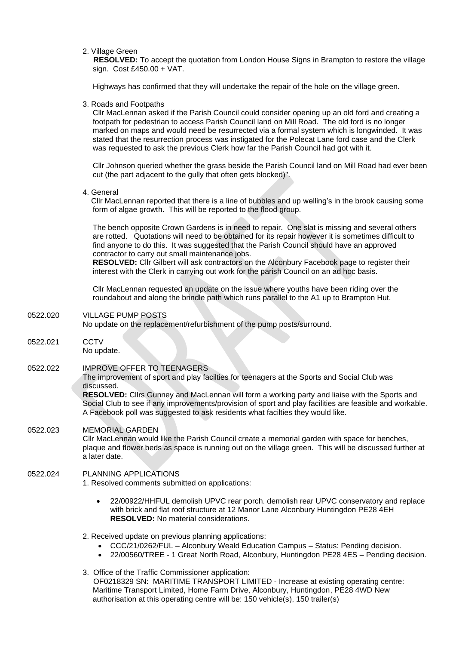2. Village Green

 **RESOLVED:** To accept the quotation from London House Signs in Brampton to restore the village sign. Cost £450.00 + VAT.

Highways has confirmed that they will undertake the repair of the hole on the village green.

3. Roads and Footpaths

Cllr MacLennan asked if the Parish Council could consider opening up an old ford and creating a footpath for pedestrian to access Parish Council land on Mill Road. The old ford is no longer marked on maps and would need be resurrected via a formal system which is longwinded. It was stated that the resurrection process was instigated for the Polecat Lane ford case and the Clerk was requested to ask the previous Clerk how far the Parish Council had got with it.

Cllr Johnson queried whether the grass beside the Parish Council land on Mill Road had ever been cut (the part adjacent to the gully that often gets blocked)".

4. General

 Cllr MacLennan reported that there is a line of bubbles and up welling's in the brook causing some form of algae growth. This will be reported to the flood group.

The bench opposite Crown Gardens is in need to repair. One slat is missing and several others are rotted. Quotations will need to be obtained for its repair however it is sometimes difficult to find anyone to do this. It was suggested that the Parish Council should have an approved contractor to carry out small maintenance jobs.

**RESOLVED:** Cllr Gilbert will ask contractors on the Alconbury Facebook page to register their interest with the Clerk in carrying out work for the parish Council on an ad hoc basis.

Cllr MacLennan requested an update on the issue where youths have been riding over the roundabout and along the brindle path which runs parallel to the A1 up to Brampton Hut.

0522.020 VILLAGE PUMP POSTS

No update on the replacement/refurbishment of the pump posts/surround.

0522.021 CCTV No update.

0522.022 IMPROVE OFFER TO TEENAGERS

The improvement of sport and play facilties for teenagers at the Sports and Social Club was discussed.

**RESOLVED:** Cllrs Gunney and MacLennan will form a working party and liaise with the Sports and Social Club to see if any improvements/provision of sport and play facilities are feasible and workable. A Facebook poll was suggested to ask residents what facilties they would like.

## 0522.023 MEMORIAL GARDEN

Cllr MacLennan would like the Parish Council create a memorial garden with space for benches, plaque and flower beds as space is running out on the village green. This will be discussed further at a later date.

#### 0522.024 PLANNING APPLICATIONS

1. Resolved comments submitted on applications:

• 22/00922/HHFUL demolish UPVC rear porch. demolish rear UPVC conservatory and replace with brick and flat roof structure at 12 Manor Lane Alconbury Huntingdon PE28 4EH **RESOLVED:** No material considerations.

2. Received update on previous planning applications:

- CCC/21/0262/FUL Alconbury Weald Education Campus Status: Pending decision.
- 22/00560/TREE 1 Great North Road, Alconbury, Huntingdon PE28 4ES Pending decision.

3. Office of the Traffic Commissioner application: OF0218329 SN: MARITIME TRANSPORT LIMITED - Increase at existing operating centre: Maritime Transport Limited, Home Farm Drive, Alconbury, Huntingdon, PE28 4WD New authorisation at this operating centre will be: 150 vehicle(s), 150 trailer(s)